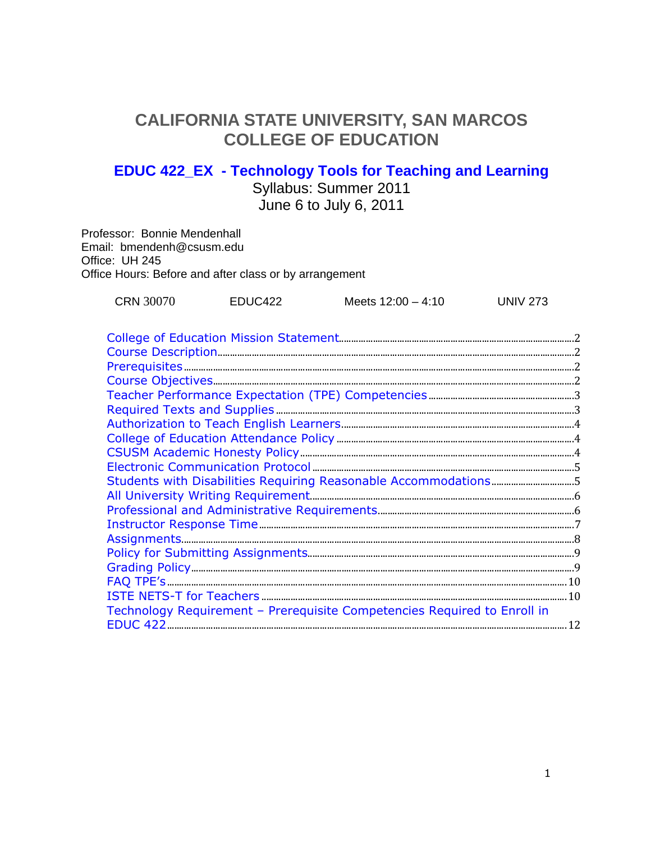# **CALIFORNIA STATE UNIVERSITY, SAN MARCOS COLLEGE OF EDUCATION**

# **EDUC 422\_EX - Technology Tools for Teaching and Learning**

Syllabus: Summer 2011 June 6 to July 6, 2011

Professor: Bonnie Mendenhall Email: bmendenh@csusm.edu Office: UH 245 Office Hours: Before and after class or by arrangement

| <b>CRN 30070</b> | EDUC422 |                      | <b>UNIV 273</b> |
|------------------|---------|----------------------|-----------------|
|                  |         | Meets $12:00 - 4:10$ |                 |
|                  |         |                      |                 |

| Students with Disabilities Requiring Reasonable Accommodations5          |  |
|--------------------------------------------------------------------------|--|
|                                                                          |  |
|                                                                          |  |
|                                                                          |  |
|                                                                          |  |
|                                                                          |  |
|                                                                          |  |
|                                                                          |  |
|                                                                          |  |
| Technology Requirement - Prerequisite Competencies Required to Enroll in |  |
|                                                                          |  |
|                                                                          |  |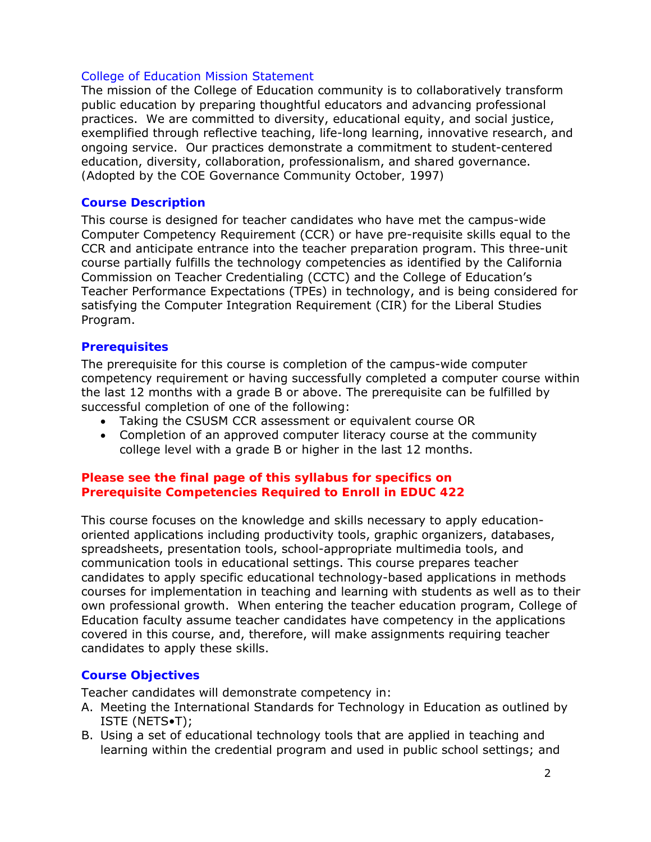#### College of Education Mission Statement

The mission of the College of Education community is to collaboratively transform public education by preparing thoughtful educators and advancing professional practices. We are committed to diversity, educational equity, and social justice, exemplified through reflective teaching, life-long learning, innovative research, and ongoing service. Our practices demonstrate a commitment to student-centered education, diversity, collaboration, professionalism, and shared governance. *(Adopted by the COE Governance Community October, 1997)* 

#### **Course Description**

This course is designed for teacher candidates who have met the campus-wide Computer Competency Requirement (CCR) or have pre-requisite skills equal to the CCR and anticipate entrance into the teacher preparation program. This three-unit course partially fulfills the technology competencies as identified by the California Commission on Teacher Credentialing (CCTC) and the College of Education's Teacher Performance Expectations (TPEs) in technology, and is being considered for satisfying the Computer Integration Requirement (CIR) for the Liberal Studies Program.

#### **Prerequisites**

The prerequisite for this course is completion of the campus-wide computer competency requirement or having successfully completed a computer course within the last 12 months with a grade B or above. The prerequisite can be fulfilled by successful completion of one of the following:

- Taking the CSUSM CCR assessment or equivalent course OR
- Completion of an approved computer literacy course at the community college level with a grade B or higher in the last 12 months.

#### **Please see the final page of this syllabus for specifics on Prerequisite Competencies Required to Enroll in EDUC 422**

This course focuses on the knowledge and skills necessary to apply educationoriented applications including productivity tools, graphic organizers, databases, spreadsheets, presentation tools, school-appropriate multimedia tools, and communication tools in educational settings. This course prepares teacher candidates to apply specific educational technology-based applications in methods courses for implementation in teaching and learning with students as well as to their own professional growth. When entering the teacher education program, College of Education faculty assume teacher candidates have competency in the applications covered in this course, and, therefore, will make assignments requiring teacher candidates to apply these skills.

#### **Course Objectives**

Teacher candidates will demonstrate competency in:

- A. Meeting the International Standards for Technology in Education as outlined by ISTE (NETS•T);
- B. Using a set of educational technology tools that are applied in teaching and learning within the credential program and used in public school settings; and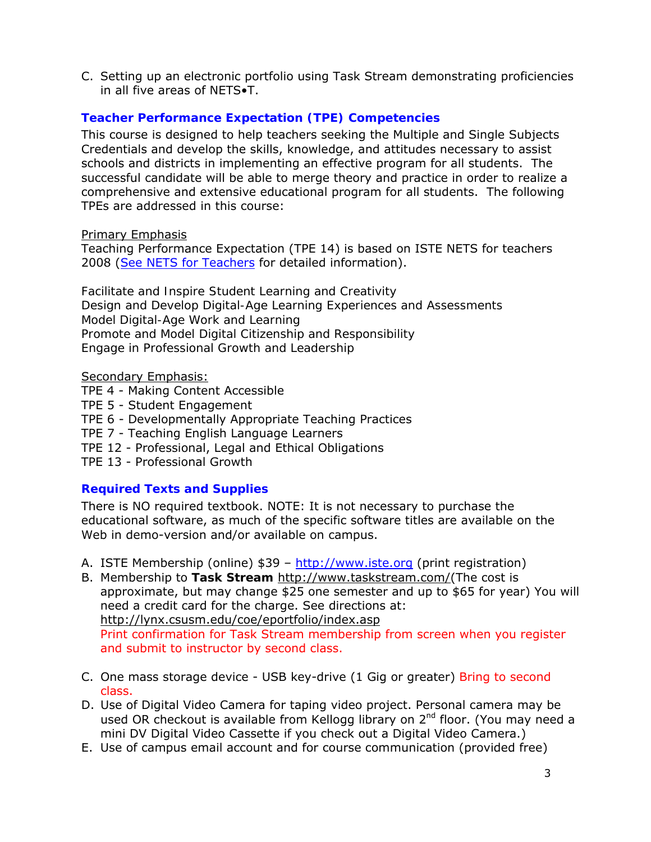C. Setting up an electronic portfolio using Task Stream demonstrating proficiencies in all five areas of NETS•T.

# **Teacher Performance Expectation (TPE) Competencies**

This course is designed to help teachers seeking the Multiple and Single Subjects Credentials and develop the skills, knowledge, and attitudes necessary to assist schools and districts in implementing an effective program for all students. The successful candidate will be able to merge theory and practice in order to realize a comprehensive and extensive educational program for all students. The following TPEs are addressed in this course:

## Primary Emphasis

Teaching Performance Expectation (TPE 14) is based on ISTE NETS for teachers 2008 (See NETS for Teachers for detailed information).

*Facilitate and Inspire Student Learning and Creativity Design and Develop Digital-Age Learning Experiences and Assessments Model Digital-Age Work and Learning Promote and Model Digital Citizenship and Responsibility Engage in Professional Growth and Leadership* 

## Secondary Emphasis:

- TPE 4 Making Content Accessible
- TPE 5 Student Engagement
- TPE 6 Developmentally Appropriate Teaching Practices
- TPE 7 Teaching English Language Learners
- TPE 12 Professional, Legal and Ethical Obligations
- TPE 13 Professional Growth

# **Required Texts and Supplies**

There is NO required textbook. NOTE: It is not necessary to purchase the educational software, as much of the specific software titles are available on the Web in demo-version and/or available on campus.

- A. ISTE Membership (online) \$39 http://www.iste.org (print registration)
- B. Membership to **Task Stream** http://www.taskstream.com/(The cost is approximate, but may change \$25 one semester and up to \$65 for year) You will need a credit card for the charge. See directions at: http://lynx.csusm.edu/coe/eportfolio/index.asp Print confirmation for Task Stream membership from screen when you register and submit to instructor by second class.
- C. One mass storage device USB key-drive (1 Gig or greater) Bring to second class.
- D. Use of Digital Video Camera for taping video project. Personal camera may be used OR checkout is available from Kellogg library on 2<sup>nd</sup> floor. (You may need a mini DV Digital Video Cassette if you check out a Digital Video Camera.)
- E. Use of campus email account and for course communication (provided free)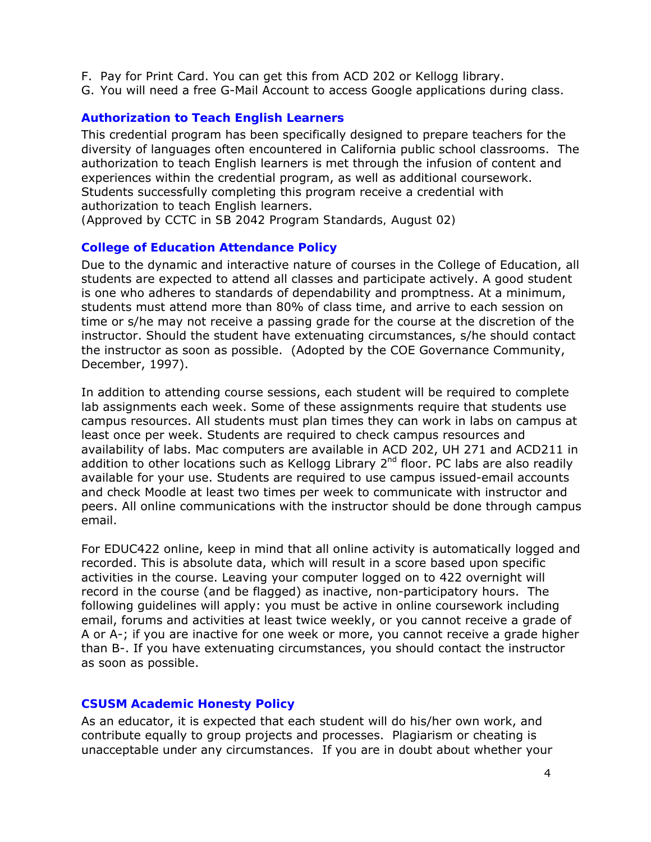- F. Pay for Print Card. You can get this from ACD 202 or Kellogg library.
- G. You will need a free G-Mail Account to access Google applications during class.

#### **Authorization to Teach English Learners**

This credential program has been specifically designed to prepare teachers for the diversity of languages often encountered in California public school classrooms. The authorization to teach English learners is met through the infusion of content and experiences within the credential program, as well as additional coursework. Students successfully completing this program receive a credential with authorization to teach English learners.

*(Approved by CCTC in SB 2042 Program Standards, August 02)*

#### **College of Education Attendance Policy**

Due to the dynamic and interactive nature of courses in the College of Education, all students are expected to attend all classes and participate actively. A good student is one who adheres to standards of dependability and promptness. At a minimum, students must attend more than 80% of class time, and arrive to each session on time or s/he may not receive a passing grade for the course at the discretion of the instructor. Should the student have extenuating circumstances, s/he should contact the instructor as soon as possible. (Adopted by the COE Governance Community, December, 1997).

In addition to attending course sessions, each student will be required to complete lab assignments each week. Some of these assignments require that students use campus resources. All students must plan times they can work in labs on campus at least once per week. Students are required to check campus resources and availability of labs. Mac computers are available in ACD 202, UH 271 and ACD211 in addition to other locations such as Kellogg Library  $2<sup>nd</sup>$  floor. PC labs are also readily available for your use. Students are required to use campus issued-email accounts and check Moodle at least two times per week to communicate with instructor and peers. All online communications with the instructor should be done through campus email.

For EDUC422 online, keep in mind that all online activity is automatically logged and recorded. This is absolute data, which will result in a score based upon specific activities in the course. Leaving your computer logged on to 422 overnight will record in the course (and be flagged) as inactive, non-participatory hours. The following guidelines will apply: you must be active in online coursework including email, forums and activities at least twice weekly, or you cannot receive a grade of A or A-; if you are inactive for one week or more, you cannot receive a grade higher than B-. If you have extenuating circumstances, you should contact the instructor as soon as possible.

#### **CSUSM Academic Honesty Policy**

As an educator, it is expected that each student will do his/her own work, and contribute equally to group projects and processes. Plagiarism or cheating is unacceptable under any circumstances. If you are in doubt about whether your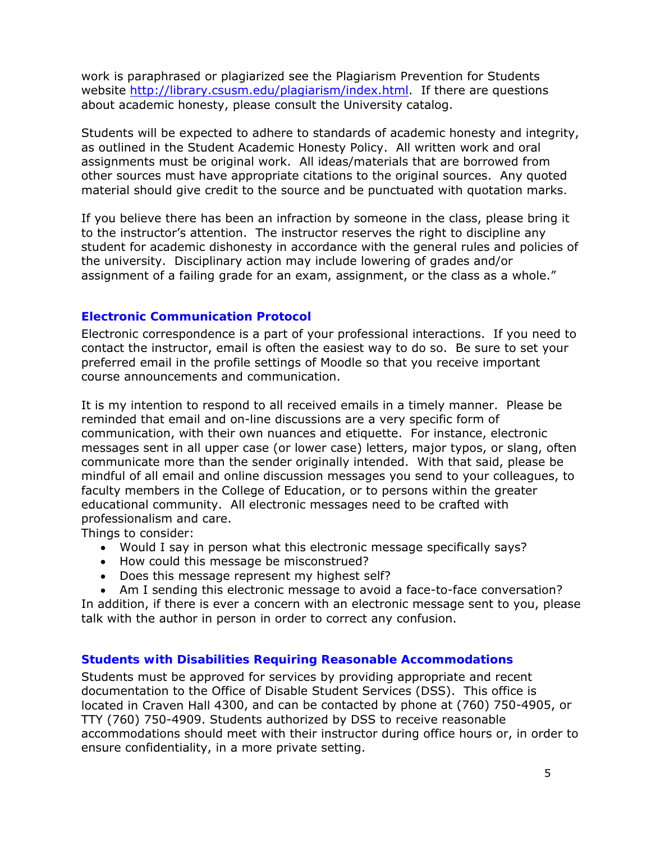work is paraphrased or plagiarized see the Plagiarism Prevention for Students website http://library.csusm.edu/plagiarism/index.html. If there are questions about academic honesty, please consult the University catalog.

Students will be expected to adhere to standards of academic honesty and integrity, as outlined in the Student Academic Honesty Policy. All written work and oral assignments must be original work. All ideas/materials that are borrowed from other sources must have appropriate citations to the original sources. Any quoted material should give credit to the source and be punctuated with quotation marks.

If you believe there has been an infraction by someone in the class, please bring it to the instructor's attention. The instructor reserves the right to discipline any student for academic dishonesty in accordance with the general rules and policies of the university. Disciplinary action may include lowering of grades and/or assignment of a failing grade for an exam, assignment, or the class as a whole."

## **Electronic Communication Protocol**

Electronic correspondence is a part of your professional interactions. If you need to contact the instructor, email is often the easiest way to do so. Be sure to set your preferred email in the profile settings of Moodle so that you receive important course announcements and communication.

It is my intention to respond to all received emails in a timely manner. Please be reminded that email and on-line discussions are a very specific form of communication, with their own nuances and etiquette. For instance, electronic messages sent in all upper case (or lower case) letters, major typos, or slang, often communicate more than the sender originally intended. With that said, please be mindful of all email and online discussion messages you send to your colleagues, to faculty members in the College of Education, or to persons within the greater educational community. All electronic messages need to be crafted with professionalism and care.

Things to consider:

- Would I say in person what this electronic message specifically says?
- How could this message be misconstrued?
- Does this message represent my highest self?
- Am I sending this electronic message to avoid a face-to-face conversation?

In addition, if there is ever a concern with an electronic message sent to you, please talk with the author in person in order to correct any confusion.

# **Students with Disabilities Requiring Reasonable Accommodations**

Students must be approved for services by providing appropriate and recent documentation to the Office of Disable Student Services (DSS). This office is located in Craven Hall 4300, and can be contacted by phone at (760) 750-4905, or TTY (760) 750-4909. Students authorized by DSS to receive reasonable accommodations should meet with their instructor during office hours or, in order to ensure confidentiality, in a more private setting.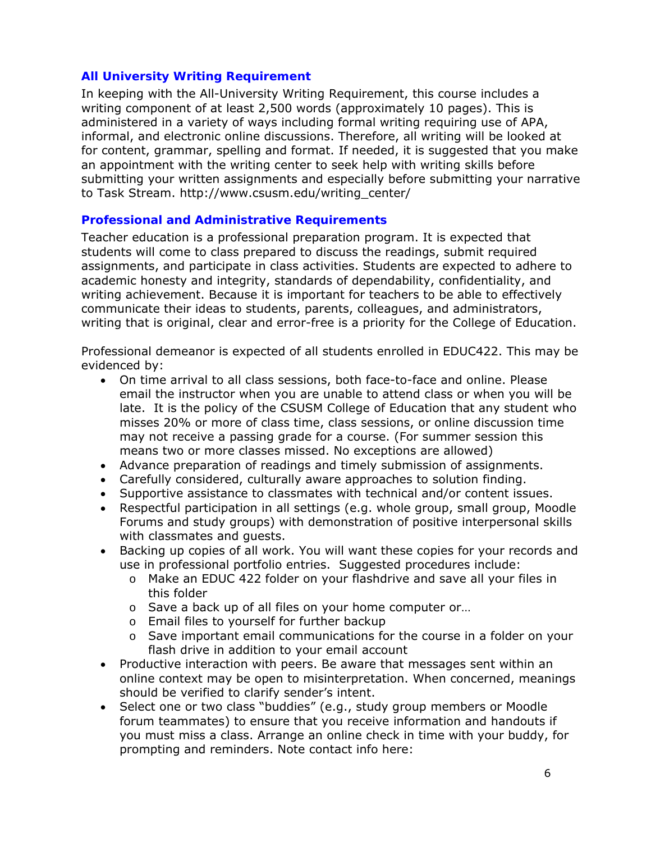## **All University Writing Requirement**

In keeping with the All-University Writing Requirement, this course includes a writing component of at least 2,500 words (approximately 10 pages). This is administered in a variety of ways including formal writing requiring use of APA, informal, and electronic online discussions. Therefore, all writing will be looked at for content, grammar, spelling and format. If needed, it is suggested that you make an appointment with the writing center to seek help with writing skills before submitting your written assignments and especially before submitting your narrative to Task Stream. http://www.csusm.edu/writing\_center/

## **Professional and Administrative Requirements**

Teacher education is a professional preparation program. It is expected that students will come to class prepared to discuss the readings, submit required assignments, and participate in class activities. Students are expected to adhere to academic honesty and integrity, standards of dependability, confidentiality, and writing achievement. Because it is important for teachers to be able to effectively communicate their ideas to students, parents, colleagues, and administrators, writing that is original, clear and error-free is a priority for the College of Education.

Professional demeanor is expected of all students enrolled in EDUC422. This may be evidenced by:

- On time arrival to all class sessions, both face-to-face and online. Please email the instructor when you are unable to attend class or when you will be late. It is the policy of the CSUSM College of Education that any student who misses 20% or more of class time, class sessions, or online discussion time may not receive a passing grade for a course. (For summer session this means two or more classes missed. No exceptions are allowed)
- Advance preparation of readings and timely submission of assignments.
- Carefully considered, culturally aware approaches to solution finding.
- Supportive assistance to classmates with technical and/or content issues.
- Respectful participation in all settings (e.g. whole group, small group, Moodle Forums and study groups) with demonstration of positive interpersonal skills with classmates and guests.
- Backing up copies of all work. You will want these copies for your records and use in professional portfolio entries. Suggested procedures include:
	- o Make an EDUC 422 folder on your flashdrive and save all your files in this folder
	- o Save a back up of all files on your home computer or...
	- o Email files to yourself for further backup
	- $\circ$  Save important email communications for the course in a folder on your flash drive in addition to your email account
- Productive interaction with peers. Be aware that messages sent within an online context may be open to misinterpretation. When concerned, meanings should be verified to clarify sender's intent.
- Select one or two class "buddies" (e.g., study group members or Moodle forum teammates) to ensure that you receive information and handouts if you must miss a class. Arrange an online check in time with your buddy, for prompting and reminders. Note contact info here: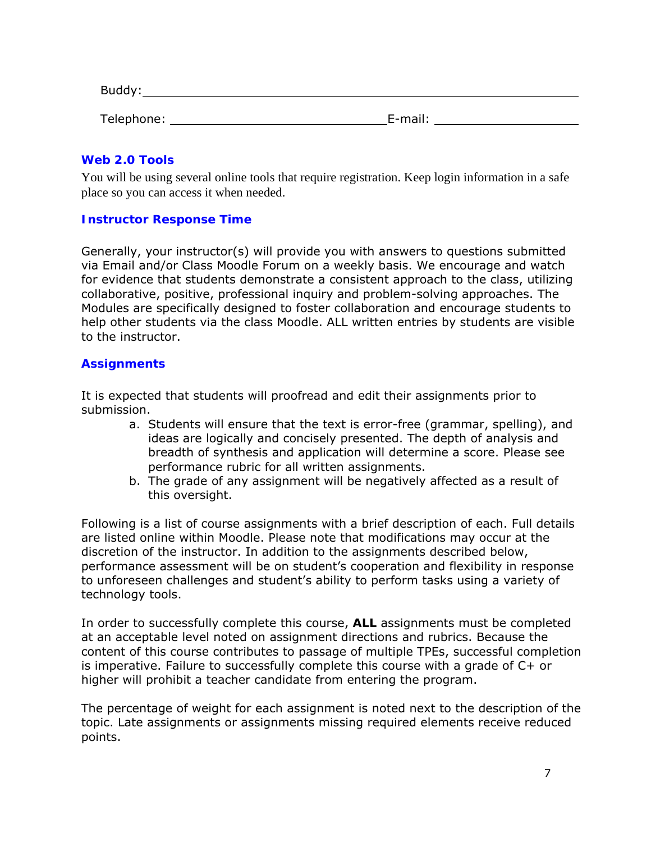| Buddy:     |         |  |
|------------|---------|--|
| Telephone: | E-mail: |  |

#### **Web 2.0 Tools**

You will be using several online tools that require registration. Keep login information in a safe place so you can access it when needed.

## **Instructor Response Time**

Generally, your instructor(s) will provide you with answers to questions submitted via Email and/or Class Moodle Forum on a weekly basis. We encourage and watch for evidence that students demonstrate a consistent approach to the class, utilizing collaborative, positive, professional inquiry and problem-solving approaches. The Modules are specifically designed to foster collaboration and encourage students to help other students via the class Moodle. ALL written entries by students are visible to the instructor.

#### **Assignments**

It is expected that students will proofread and edit their assignments prior to submission.

- a. Students will ensure that the text is error-free (grammar, spelling), and ideas are logically and concisely presented. The depth of analysis and breadth of synthesis and application will determine a score. Please see performance rubric for all written assignments.
- b. The grade of any assignment will be negatively affected as a result of this oversight.

Following is a list of course assignments with a brief description of each. Full details are listed online within Moodle. Please note that modifications may occur at the discretion of the instructor. In addition to the assignments described below, performance assessment will be on student's cooperation and flexibility in response to unforeseen challenges and student's ability to perform tasks using a variety of technology tools.

In order to successfully complete this course, **ALL** assignments must be completed at an acceptable level noted on assignment directions and rubrics. Because the content of this course contributes to passage of multiple TPEs, successful completion is imperative. Failure to successfully complete this course with a grade of C+ or higher will prohibit a teacher candidate from entering the program.

The percentage of weight for each assignment is noted next to the description of the topic. Late assignments or assignments missing required elements receive reduced points.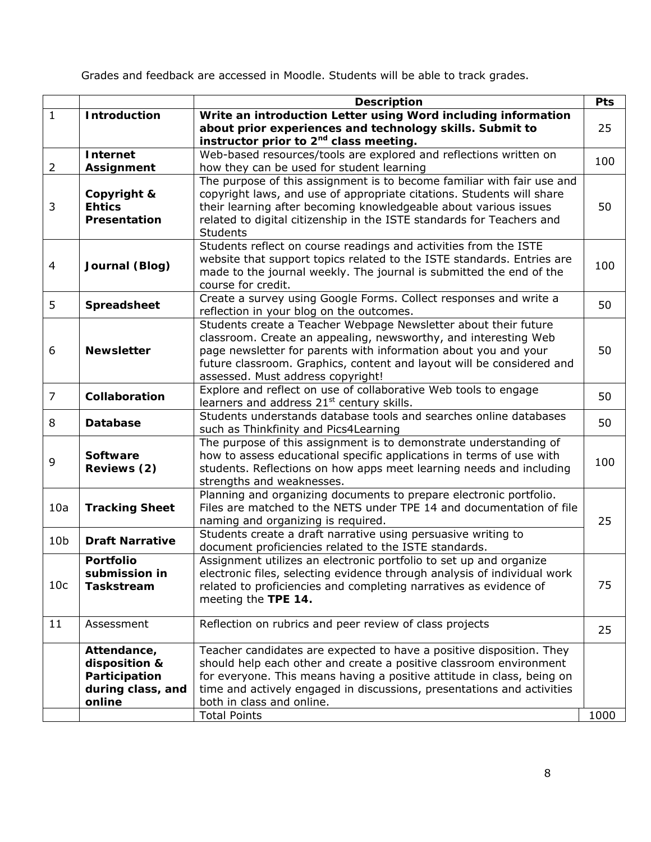Grades and feedback are accessed in Moodle. Students will be able to track grades.

|                 |                             | <b>Description</b>                                                                                                                             | <b>Pts</b> |
|-----------------|-----------------------------|------------------------------------------------------------------------------------------------------------------------------------------------|------------|
| $\mathbf{1}$    | <b>Introduction</b>         | Write an introduction Letter using Word including information                                                                                  |            |
|                 |                             | about prior experiences and technology skills. Submit to                                                                                       | 25         |
|                 |                             | instructor prior to 2 <sup>nd</sup> class meeting.                                                                                             |            |
|                 | Internet                    | Web-based resources/tools are explored and reflections written on                                                                              | 100        |
| $\overline{2}$  | Assignment                  | how they can be used for student learning                                                                                                      |            |
|                 |                             | The purpose of this assignment is to become familiar with fair use and                                                                         |            |
|                 | Copyright &                 | copyright laws, and use of appropriate citations. Students will share                                                                          |            |
| 3               | <b>Ehtics</b>               | their learning after becoming knowledgeable about various issues                                                                               | 50         |
|                 | Presentation                | related to digital citizenship in the ISTE standards for Teachers and                                                                          |            |
|                 |                             | <b>Students</b>                                                                                                                                |            |
|                 |                             | Students reflect on course readings and activities from the ISTE                                                                               |            |
| 4               | Journal (Blog)              | website that support topics related to the ISTE standards. Entries are                                                                         | 100        |
|                 |                             | made to the journal weekly. The journal is submitted the end of the<br>course for credit.                                                      |            |
|                 |                             | Create a survey using Google Forms. Collect responses and write a                                                                              |            |
| 5               | Spreadsheet                 | reflection in your blog on the outcomes.                                                                                                       | 50         |
|                 |                             | Students create a Teacher Webpage Newsletter about their future                                                                                |            |
|                 |                             | classroom. Create an appealing, newsworthy, and interesting Web                                                                                |            |
| 6               | <b>Newsletter</b>           | page newsletter for parents with information about you and your                                                                                | 50         |
|                 |                             | future classroom. Graphics, content and layout will be considered and                                                                          |            |
|                 |                             | assessed. Must address copyright!                                                                                                              |            |
|                 |                             | Explore and reflect on use of collaborative Web tools to engage                                                                                |            |
| $\overline{7}$  | Collaboration               | learners and address 21 <sup>st</sup> century skills.                                                                                          | 50         |
| 8               | <b>Database</b>             | Students understands database tools and searches online databases                                                                              | 50         |
|                 |                             | such as Thinkfinity and Pics4Learning                                                                                                          |            |
|                 |                             | The purpose of this assignment is to demonstrate understanding of                                                                              |            |
| 9               | <b>Software</b>             | how to assess educational specific applications in terms of use with                                                                           | 100        |
|                 | Reviews (2)                 | students. Reflections on how apps meet learning needs and including                                                                            |            |
|                 |                             | strengths and weaknesses.                                                                                                                      |            |
|                 |                             | Planning and organizing documents to prepare electronic portfolio.                                                                             |            |
| 10a             | <b>Tracking Sheet</b>       | Files are matched to the NETS under TPE 14 and documentation of file                                                                           |            |
|                 |                             | naming and organizing is required.                                                                                                             | 25         |
| 10 <sub>b</sub> | <b>Draft Narrative</b>      | Students create a draft narrative using persuasive writing to                                                                                  |            |
|                 |                             | document proficiencies related to the ISTE standards.                                                                                          |            |
|                 | <b>Portfolio</b>            | Assignment utilizes an electronic portfolio to set up and organize<br>electronic files, selecting evidence through analysis of individual work |            |
| 10 <sub>c</sub> | submission in<br>Taskstream | related to proficiencies and completing narratives as evidence of                                                                              | 75         |
|                 |                             | meeting the TPE 14.                                                                                                                            |            |
|                 |                             |                                                                                                                                                |            |
| 11              | Assessment                  | Reflection on rubrics and peer review of class projects                                                                                        |            |
|                 |                             |                                                                                                                                                | 25         |
|                 | Attendance,                 | Teacher candidates are expected to have a positive disposition. They                                                                           |            |
|                 | disposition &               | should help each other and create a positive classroom environment                                                                             |            |
|                 | Participation               | for everyone. This means having a positive attitude in class, being on                                                                         |            |
|                 | during class, and           | time and actively engaged in discussions, presentations and activities                                                                         |            |
|                 | online                      | both in class and online.                                                                                                                      |            |
|                 |                             | <b>Total Points</b>                                                                                                                            | 1000       |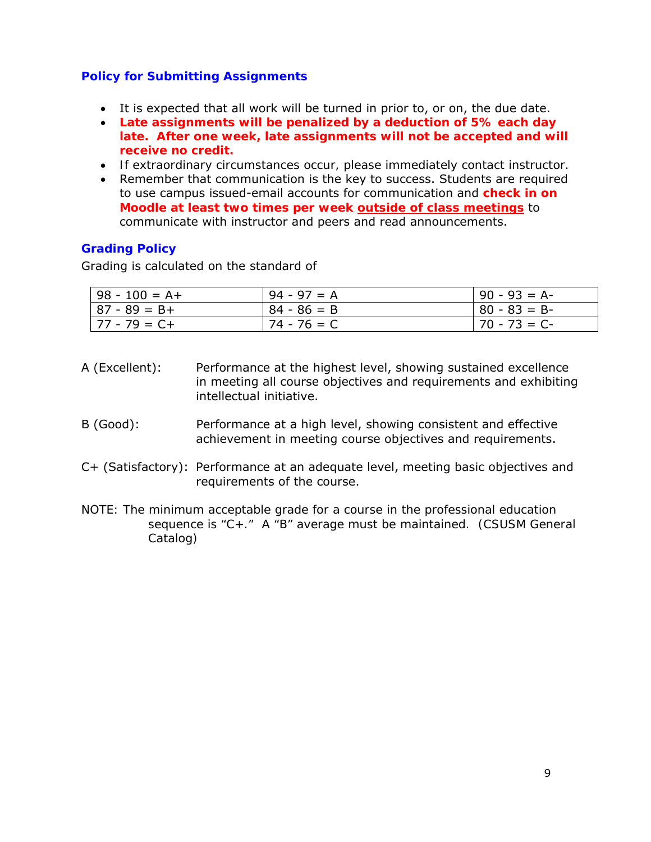# **Policy for Submitting Assignments**

- It is expected that all work will be turned in prior to, or on, the due date.
- **Late assignments will be penalized by a deduction of 5% each day late. After one week, late assignments will not be accepted and will receive no credit.**
- *If extraordinary circumstances occur, please immediately contact instructor.*
- Remember that communication is the key to success. Students are required to use campus issued-email accounts for communication and **check in on Moodle at least two times per week outside of class meetings** to communicate with instructor and peers and read announcements.

# **Grading Policy**

Grading is calculated on the standard of

| $98 - 100 = A +$ | $94 - 97 = A$ | $90 - 93 = A$ |
|------------------|---------------|---------------|
| $87 - 89 = B +$  | $84 - 86 = B$ | $80 - 83 = B$ |
| $77 - 79 = C +$  | $74 - 76 = C$ | $70 - 73 = C$ |

- A (Excellent): Performance at the highest level, showing sustained excellence in meeting all course objectives and requirements and exhibiting intellectual initiative.
- B (Good): Performance at a high level, showing consistent and effective achievement in meeting course objectives and requirements.
- C+ (Satisfactory): Performance at an adequate level, meeting basic objectives and requirements of the course.
- *NOTE: The minimum acceptable grade for a course in the professional education sequence is "C+." A "B" average must be maintained. (CSUSM General Catalog)*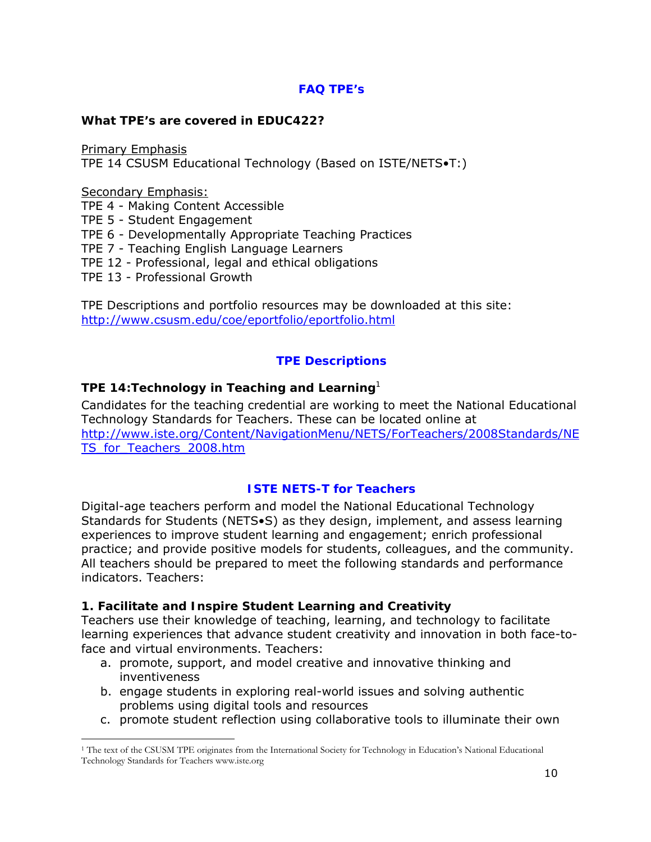# **FAQ TPE's**

#### **What TPE's are covered in EDUC422?**

Primary Emphasis TPE 14 CSUSM Educational Technology (Based on ISTE/NETS•T:)

Secondary Emphasis:

 $\overline{a}$ 

TPE 4 - Making Content Accessible

TPE 5 - Student Engagement

TPE 6 - Developmentally Appropriate Teaching Practices

TPE 7 - Teaching English Language Learners

TPE 12 - Professional, legal and ethical obligations

TPE 13 - Professional Growth

TPE Descriptions and portfolio resources may be downloaded at this site: http://www.csusm.edu/coe/eportfolio/eportfolio.html

## **TPE Descriptions**

## *TPE 14:Technology in Teaching and Learning<sup>1</sup>*

Candidates for the teaching credential are working to meet the National Educational Technology Standards for Teachers. These can be located online at http://www.iste.org/Content/NavigationMenu/NETS/ForTeachers/2008Standards/NE TS for Teachers 2008.htm

#### **ISTE NETS-T for Teachers**

Digital-age teachers perform and model the National Educational Technology Standards for Students (NETS•S) as they design, implement, and assess learning experiences to improve student learning and engagement; enrich professional practice; and provide positive models for students, colleagues, and the community. All teachers should be prepared to meet the following standards and performance indicators. Teachers:

#### **1. Facilitate and Inspire Student Learning and Creativity**

Teachers use their knowledge of teaching, learning, and technology to facilitate learning experiences that advance student creativity and innovation in both face-toface and virtual environments. Teachers:

- a. promote, support, and model creative and innovative thinking and inventiveness
- b. engage students in exploring real-world issues and solving authentic problems using digital tools and resources
- c. promote student reflection using collaborative tools to illuminate their own

<sup>1</sup> The text of the CSUSM TPE originates from the International Society for Technology in Education's National Educational Technology Standards for Teachers www.iste.org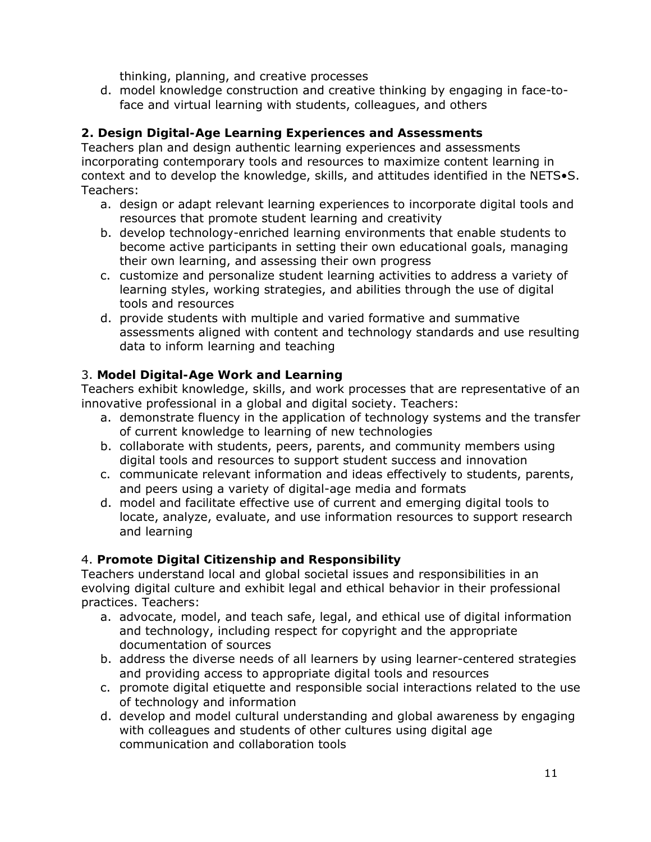thinking, planning, and creative processes

d. model knowledge construction and creative thinking by engaging in face-toface and virtual learning with students, colleagues, and others

# **2. Design Digital-Age Learning Experiences and Assessments**

Teachers plan and design authentic learning experiences and assessments incorporating contemporary tools and resources to maximize content learning in context and to develop the knowledge, skills, and attitudes identified in the NETS•S. Teachers:

- a. design or adapt relevant learning experiences to incorporate digital tools and resources that promote student learning and creativity
- b. develop technology-enriched learning environments that enable students to become active participants in setting their own educational goals, managing their own learning, and assessing their own progress
- c. customize and personalize student learning activities to address a variety of learning styles, working strategies, and abilities through the use of digital tools and resources
- d. provide students with multiple and varied formative and summative assessments aligned with content and technology standards and use resulting data to inform learning and teaching

# 3. **Model Digital-Age Work and Learning**

Teachers exhibit knowledge, skills, and work processes that are representative of an innovative professional in a global and digital society. Teachers:

- a. demonstrate fluency in the application of technology systems and the transfer of current knowledge to learning of new technologies
- b. collaborate with students, peers, parents, and community members using digital tools and resources to support student success and innovation
- c. communicate relevant information and ideas effectively to students, parents, and peers using a variety of digital-age media and formats
- d. model and facilitate effective use of current and emerging digital tools to locate, analyze, evaluate, and use information resources to support research and learning

# 4. **Promote Digital Citizenship and Responsibility**

Teachers understand local and global societal issues and responsibilities in an evolving digital culture and exhibit legal and ethical behavior in their professional practices. Teachers:

- a. advocate, model, and teach safe, legal, and ethical use of digital information and technology, including respect for copyright and the appropriate documentation of sources
- b. address the diverse needs of all learners by using learner-centered strategies and providing access to appropriate digital tools and resources
- c. promote digital etiquette and responsible social interactions related to the use of technology and information
- d. develop and model cultural understanding and global awareness by engaging with colleagues and students of other cultures using digital age communication and collaboration tools